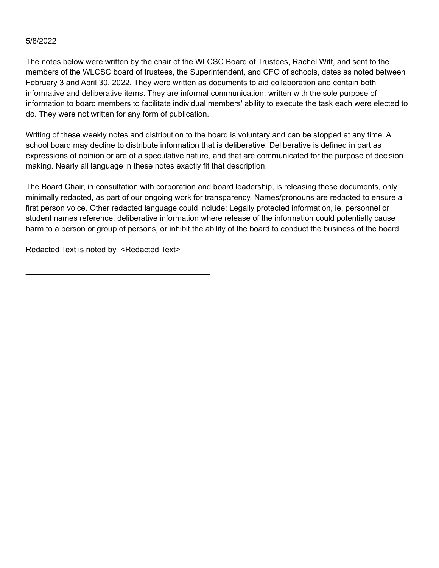#### 5/8/2022

The notes below were written by the chair of the WLCSC Board of Trustees, Rachel Witt, and sent to the members of the WLCSC board of trustees, the Superintendent, and CFO of schools, dates as noted between February 3 and April 30, 2022. They were written as documents to aid collaboration and contain both informative and deliberative items. They are informal communication, written with the sole purpose of information to board members to facilitate individual members' ability to execute the task each were elected to do. They were not written for any form of publication.

Writing of these weekly notes and distribution to the board is voluntary and can be stopped at any time. A school board may decline to distribute information that is deliberative. Deliberative is defined in part as expressions of opinion or are of a speculative nature, and that are communicated for the purpose of decision making. Nearly all language in these notes exactly fit that description.

The Board Chair, in consultation with corporation and board leadership, is releasing these documents, only minimally redacted, as part of our ongoing work for transparency. Names/pronouns are redacted to ensure a first person voice. Other redacted language could include: Legally protected information, ie. personnel or student names reference, deliberative information where release of the information could potentially cause harm to a person or group of persons, or inhibit the ability of the board to conduct the business of the board.

Redacted Text is noted by <Redacted Text>

\_\_\_\_\_\_\_\_\_\_\_\_\_\_\_\_\_\_\_\_\_\_\_\_\_\_\_\_\_\_\_\_\_\_\_\_\_\_\_\_\_\_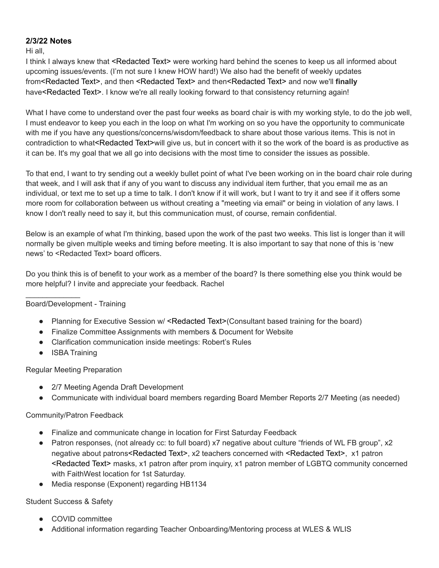# **2/3/22 Notes**

Hi all,

I think I always knew that <Redacted Text> were working hard behind the scenes to keep us all informed about upcoming issues/events. (I'm not sure I knew HOW hard!) We also had the benefit of weekly updates from<Redacted Text>, and then <Redacted Text> and then<Redacted Text> and now we'll **finally** have<Redacted Text>. I know we're all really looking forward to that consistency returning again!

What I have come to understand over the past four weeks as board chair is with my working style, to do the job well, I must endeavor to keep you each in the loop on what I'm working on so you have the opportunity to communicate with me if you have any questions/concerns/wisdom/feedback to share about those various items. This is not in contradiction to what<Redacted Text>will give us, but in concert with it so the work of the board is as productive as it can be. It's my goal that we all go into decisions with the most time to consider the issues as possible.

To that end, I want to try sending out a weekly bullet point of what I've been working on in the board chair role during that week, and I will ask that if any of you want to discuss any individual item further, that you email me as an individual, or text me to set up a time to talk. I don't know if it will work, but I want to try it and see if it offers some more room for collaboration between us without creating a "meeting via email" or being in violation of any laws. I know I don't really need to say it, but this communication must, of course, remain confidential.

Below is an example of what I'm thinking, based upon the work of the past two weeks. This list is longer than it will normally be given multiple weeks and timing before meeting. It is also important to say that none of this is 'new news' to <Redacted Text> board officers.

Do you think this is of benefit to your work as a member of the board? Is there something else you think would be more helpful? I invite and appreciate your feedback. Rachel

# Board/Development - Training

 $\mathcal{L}_\text{max}$  , where  $\mathcal{L}_\text{max}$ 

- Planning for Executive Session w/ <Redacted Text>(Consultant based training for the board)
- Finalize Committee Assignments with members & Document for Website
- Clarification communication inside meetings: Robert's Rules
- ISBA Training

Regular Meeting Preparation

- 2/7 Meeting Agenda Draft Development
- Communicate with individual board members regarding Board Member Reports 2/7 Meeting (as needed)

## Community/Patron Feedback

- Finalize and communicate change in location for First Saturday Feedback
- Patron responses, (not already cc: to full board) x7 negative about culture "friends of WL FB group", x2 negative about patrons<Redacted Text>, x2 teachers concerned with <Redacted Text>, x1 patron <Redacted Text> masks, x1 patron after prom inquiry, x1 patron member of LGBTQ community concerned with FaithWest location for 1st Saturday.
- Media response (Exponent) regarding HB1134

# Student Success & Safety

- COVID committee
- Additional information regarding Teacher Onboarding/Mentoring process at WLES & WLIS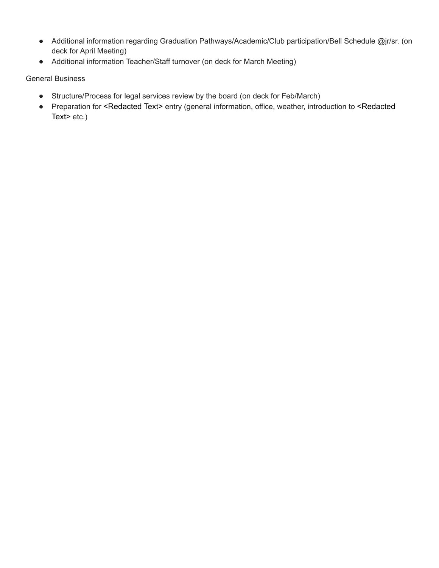- Additional information regarding Graduation Pathways/Academic/Club participation/Bell Schedule @jr/sr. (on deck for April Meeting)
- Additional information Teacher/Staff turnover (on deck for March Meeting)

- Structure/Process for legal services review by the board (on deck for Feb/March)
- Preparation for <Redacted Text> entry (general information, office, weather, introduction to <Redacted Text> etc.)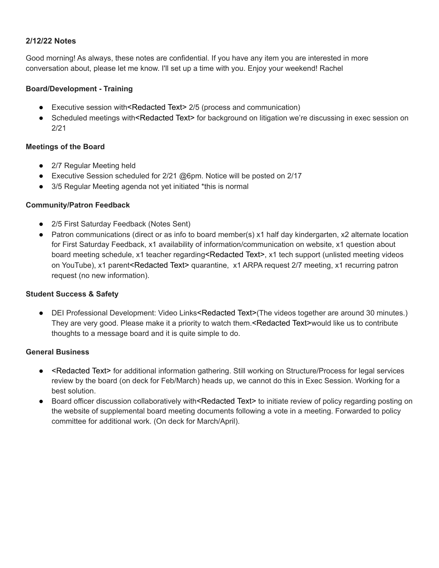## **2/12/22 Notes**

Good morning! As always, these notes are confidential. If you have any item you are interested in more conversation about, please let me know. I'll set up a time with you. Enjoy your weekend! Rachel

#### **Board/Development - Training**

- Executive session with<Redacted Text> 2/5 (process and communication)
- Scheduled meetings with<Redacted Text> for background on litigation we're discussing in exec session on 2/21

#### **Meetings of the Board**

- 2/7 Regular Meeting held
- **•** Executive Session scheduled for  $2/21$  @6pm. Notice will be posted on  $2/17$
- 3/5 Regular Meeting agenda not yet initiated \*this is normal

#### **Community/Patron Feedback**

- 2/5 First Saturday Feedback (Notes Sent)
- Patron communications (direct or as info to board member(s) x1 half day kindergarten, x2 alternate location for First Saturday Feedback, x1 availability of information/communication on website, x1 question about board meeting schedule, x1 teacher regarding<Redacted Text>, x1 tech support (unlisted meeting videos on YouTube), x1 parent<Redacted Text> quarantine, x1 ARPA request 2/7 meeting, x1 recurring patron request (no new information).

## **Student Success & Safety**

● DEI Professional Development: Video Links<Redacted Text>(The videos together are around 30 minutes.) They are very good. Please make it a priority to watch them.<Redacted Text>would like us to contribute thoughts to a message board and it is quite simple to do.

- <Redacted Text> for additional information gathering. Still working on Structure/Process for legal services review by the board (on deck for Feb/March) heads up, we cannot do this in Exec Session. Working for a best solution.
- Board officer discussion collaboratively with<Redacted Text> to initiate review of policy regarding posting on the website of supplemental board meeting documents following a vote in a meeting. Forwarded to policy committee for additional work. (On deck for March/April).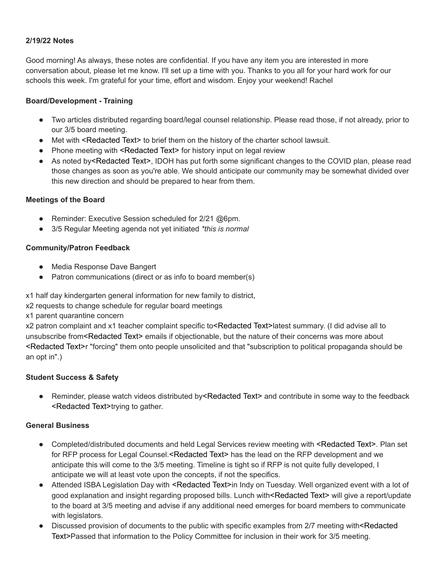## **2/19/22 Notes**

Good morning! As always, these notes are confidential. If you have any item you are interested in more conversation about, please let me know. I'll set up a time with you. Thanks to you all for your hard work for our schools this week. I'm grateful for your time, effort and wisdom. Enjoy your weekend! Rachel

#### **Board/Development - Training**

- Two articles distributed regarding board/legal counsel relationship. Please read those, if not already, prior to our 3/5 board meeting.
- Met with <Redacted Text> to brief them on the history of the charter school lawsuit.
- Phone meeting with <Redacted Text> for history input on legal review
- As noted by<Redacted Text>, IDOH has put forth some significant changes to the COVID plan, please read those changes as soon as you're able. We should anticipate our community may be somewhat divided over this new direction and should be prepared to hear from them.

#### **Meetings of the Board**

- Reminder: Executive Session scheduled for 2/21 @6pm.
- 3/5 Regular Meeting agenda not yet initiated *\*this is normal*

#### **Community/Patron Feedback**

- Media Response Dave Bangert
- Patron communications (direct or as info to board member(s)

x1 half day kindergarten general information for new family to district,

x2 requests to change schedule for regular board meetings

x1 parent quarantine concern

x2 patron complaint and x1 teacher complaint specific to<Redacted Text>latest summary. (I did advise all to unsubscribe from<Redacted Text> emails if objectionable, but the nature of their concerns was more about <Redacted Text>r "forcing" them onto people unsolicited and that "subscription to political propaganda should be an opt in".)

## **Student Success & Safety**

• Reminder, please watch videos distributed by<Redacted Text> and contribute in some way to the feedback <Redacted Text>trying to gather.

- Completed/distributed documents and held Legal Services review meeting with <Redacted Text>. Plan set for RFP process for Legal Counsel.<Redacted Text> has the lead on the RFP development and we anticipate this will come to the 3/5 meeting. Timeline is tight so if RFP is not quite fully developed, I anticipate we will at least vote upon the concepts, if not the specifics.
- Attended ISBA Legislation Day with <Redacted Text>in Indy on Tuesday. Well organized event with a lot of good explanation and insight regarding proposed bills. Lunch with<Redacted Text> will give a report/update to the board at 3/5 meeting and advise if any additional need emerges for board members to communicate with legislators.
- Discussed provision of documents to the public with specific examples from 2/7 meeting with<Redacted Text>Passed that information to the Policy Committee for inclusion in their work for 3/5 meeting.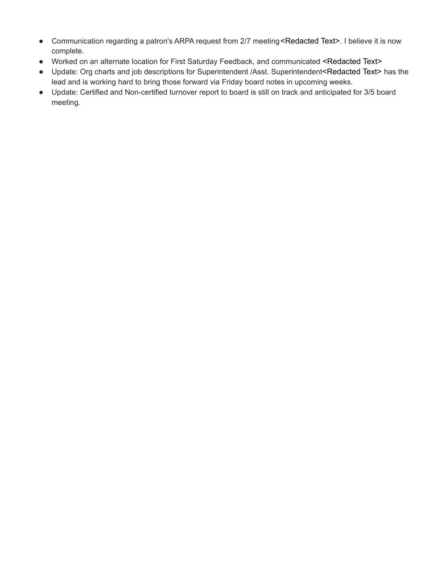- Communication regarding a patron's ARPA request from 2/7 meeting <Redacted Text>. I believe it is now complete.
- Worked on an alternate location for First Saturday Feedback, and communicated <Redacted Text>
- Update: Org charts and job descriptions for Superintendent /Asst. Superintendent<Redacted Text> has the lead and is working hard to bring those forward via Friday board notes in upcoming weeks.
- Update: Certified and Non-certified turnover report to board is still on track and anticipated for 3/5 board meeting.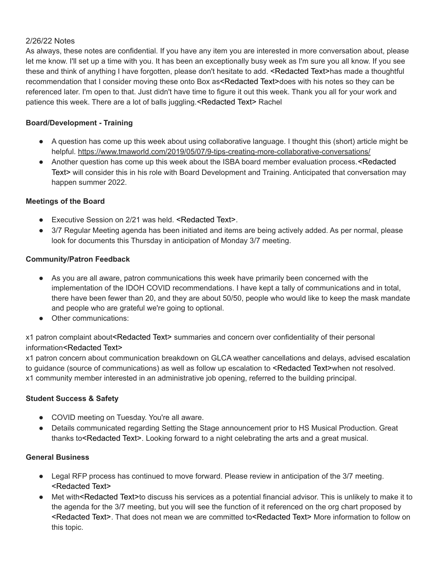## 2/26/22 Notes

As always, these notes are confidential. If you have any item you are interested in more conversation about, please let me know. I'll set up a time with you. It has been an exceptionally busy week as I'm sure you all know. If you see these and think of anything I have forgotten, please don't hesitate to add. <Redacted Text>has made a thoughtful recommendation that I consider moving these onto Box as<Redacted Text>does with his notes so they can be referenced later. I'm open to that. Just didn't have time to figure it out this week. Thank you all for your work and patience this week. There are a lot of balls juggling.<Redacted Text> Rachel

## **Board/Development - Training**

- A question has come up this week about using collaborative language. I thought this (short) article might be helpful. <https://www.tmaworld.com/2019/05/07/9-tips-creating-more-collaborative-conversations/>
- Another question has come up this week about the ISBA board member evaluation process.<Redacted Text> will consider this in his role with Board Development and Training. Anticipated that conversation may happen summer 2022.

## **Meetings of the Board**

- Executive Session on 2/21 was held. <Redacted Text>.
- 3/7 Regular Meeting agenda has been initiated and items are being actively added. As per normal, please look for documents this Thursday in anticipation of Monday 3/7 meeting.

## **Community/Patron Feedback**

- As you are all aware, patron communications this week have primarily been concerned with the implementation of the IDOH COVID recommendations. I have kept a tally of communications and in total, there have been fewer than 20, and they are about 50/50, people who would like to keep the mask mandate and people who are grateful we're going to optional.
- Other communications:

# x1 patron complaint about<Redacted Text> summaries and concern over confidentiality of their personal information<Redacted Text>

x1 patron concern about communication breakdown on GLCA weather cancellations and delays, advised escalation to guidance (source of communications) as well as follow up escalation to <Redacted Text>when not resolved. x1 community member interested in an administrative job opening, referred to the building principal.

# **Student Success & Safety**

- COVID meeting on Tuesday. You're all aware.
- Details communicated regarding Setting the Stage announcement prior to HS Musical Production. Great thanks to<Redacted Text>. Looking forward to a night celebrating the arts and a great musical.

- Legal RFP process has continued to move forward. Please review in anticipation of the 3/7 meeting. <Redacted Text>
- Met with<Redacted Text>to discuss his services as a potential financial advisor. This is unlikely to make it to the agenda for the 3/7 meeting, but you will see the function of it referenced on the org chart proposed by <Redacted Text>. That does not mean we are committed to<Redacted Text> More information to follow on this topic.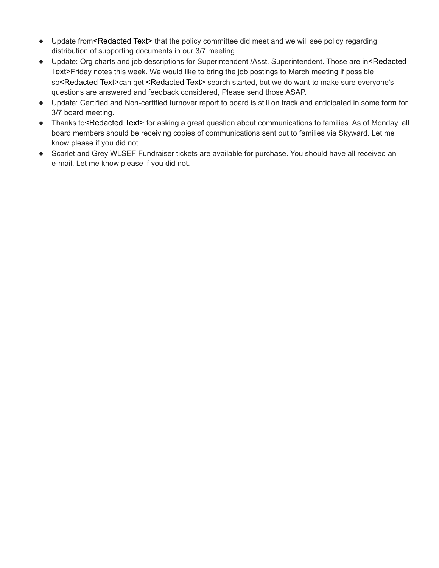- Update from<Redacted Text> that the policy committee did meet and we will see policy regarding distribution of supporting documents in our 3/7 meeting.
- Update: Org charts and job descriptions for Superintendent /Asst. Superintendent. Those are in<Redacted Text>Friday notes this week. We would like to bring the job postings to March meeting if possible so<Redacted Text>can get <Redacted Text> search started, but we do want to make sure everyone's questions are answered and feedback considered, Please send those ASAP.
- Update: Certified and Non-certified turnover report to board is still on track and anticipated in some form for 3/7 board meeting.
- Thanks to<Redacted Text> for asking a great question about communications to families. As of Monday, all board members should be receiving copies of communications sent out to families via Skyward. Let me know please if you did not.
- Scarlet and Grey WLSEF Fundraiser tickets are available for purchase. You should have all received an e-mail. Let me know please if you did not.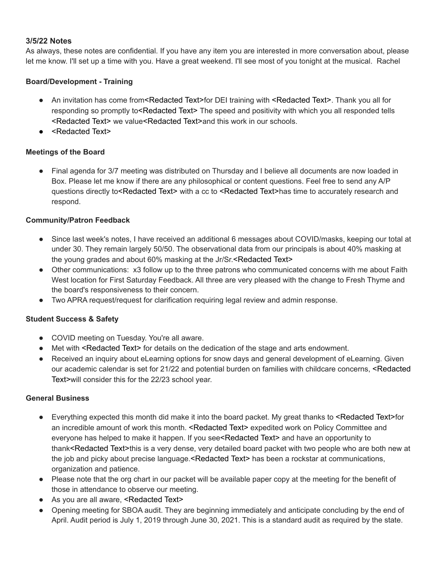## **3/5/22 Notes**

As always, these notes are confidential. If you have any item you are interested in more conversation about, please let me know. I'll set up a time with you. Have a great weekend. I'll see most of you tonight at the musical. Rachel

# **Board/Development - Training**

- An invitation has come from<Redacted Text>for DEI training with <Redacted Text>. Thank you all for responding so promptly to<Redacted Text> The speed and positivity with which you all responded tells <Redacted Text> we value<Redacted Text>and this work in our schools.
- <Redacted Text>

## **Meetings of the Board**

Final agenda for 3/7 meeting was distributed on Thursday and I believe all documents are now loaded in Box. Please let me know if there are any philosophical or content questions. Feel free to send any A/P questions directly to<Redacted Text> with a cc to <Redacted Text>has time to accurately research and respond.

## **Community/Patron Feedback**

- Since last week's notes, I have received an additional 6 messages about COVID/masks, keeping our total at under 30. They remain largely 50/50. The observational data from our principals is about 40% masking at the young grades and about 60% masking at the Jr/Sr. <Redacted Text>
- Other communications: x3 follow up to the three patrons who communicated concerns with me about Faith West location for First Saturday Feedback. All three are very pleased with the change to Fresh Thyme and the board's responsiveness to their concern.
- Two APRA request/request for clarification requiring legal review and admin response.

## **Student Success & Safety**

- COVID meeting on Tuesday. You're all aware.
- Met with <Redacted Text> for details on the dedication of the stage and arts endowment.
- Received an inquiry about eLearning options for snow days and general development of eLearning. Given our academic calendar is set for 21/22 and potential burden on families with childcare concerns, <Redacted Text>will consider this for the 22/23 school year.

- Everything expected this month did make it into the board packet. My great thanks to <Redacted Text>for an incredible amount of work this month. <Redacted Text> expedited work on Policy Committee and everyone has helped to make it happen. If you see<Redacted Text> and have an opportunity to thank<Redacted Text>this is a very dense, very detailed board packet with two people who are both new at the job and picky about precise language. <Redacted Text> has been a rockstar at communications, organization and patience.
- Please note that the org chart in our packet will be available paper copy at the meeting for the benefit of those in attendance to observe our meeting.
- As you are all aware, <Redacted Text>
- Opening meeting for SBOA audit. They are beginning immediately and anticipate concluding by the end of April. Audit period is July 1, 2019 through June 30, 2021. This is a standard audit as required by the state.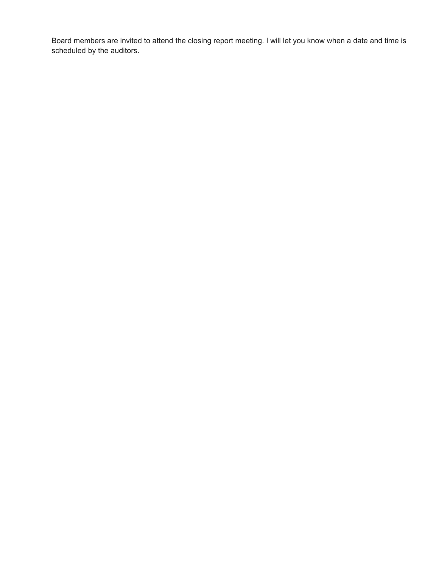Board members are invited to attend the closing report meeting. I will let you know when a date and time is scheduled by the auditors.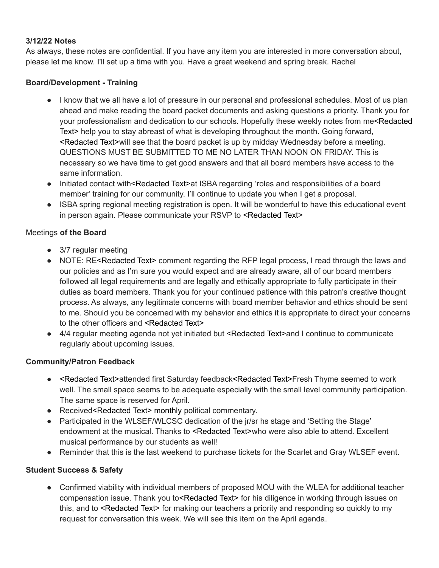# **3/12/22 Notes**

As always, these notes are confidential. If you have any item you are interested in more conversation about, please let me know. I'll set up a time with you. Have a great weekend and spring break. Rachel

# **Board/Development - Training**

- I know that we all have a lot of pressure in our personal and professional schedules. Most of us plan ahead and make reading the board packet documents and asking questions a priority. Thank you for your professionalism and dedication to our schools. Hopefully these weekly notes from me<Redacted Text> help you to stay abreast of what is developing throughout the month. Going forward, <Redacted Text>will see that the board packet is up by midday Wednesday before a meeting. QUESTIONS MUST BE SUBMITTED TO ME NO LATER THAN NOON ON FRIDAY. This is necessary so we have time to get good answers and that all board members have access to the same information.
- Initiated contact with<Redacted Text>at ISBA regarding 'roles and responsibilities of a board member' training for our community. I'll continue to update you when I get a proposal.
- ISBA spring regional meeting registration is open. It will be wonderful to have this educational event in person again. Please communicate your RSVP to <Redacted Text>

## Meetings **of the Board**

- 3/7 regular meeting
- NOTE: RE<Redacted Text> comment regarding the RFP legal process, I read through the laws and our policies and as I'm sure you would expect and are already aware, all of our board members followed all legal requirements and are legally and ethically appropriate to fully participate in their duties as board members. Thank you for your continued patience with this patron's creative thought process. As always, any legitimate concerns with board member behavior and ethics should be sent to me. Should you be concerned with my behavior and ethics it is appropriate to direct your concerns to the other officers and <Redacted Text>
- 4/4 regular meeting agenda not yet initiated but <Redacted Text>and I continue to communicate regularly about upcoming issues.

## **Community/Patron Feedback**

- <Redacted Text>attended first Saturday feedback<Redacted Text>Fresh Thyme seemed to work well. The small space seems to be adequate especially with the small level community participation. The same space is reserved for April.
- Received<Redacted Text> monthly political commentary.
- Participated in the WLSEF/WLCSC dedication of the jr/sr hs stage and 'Setting the Stage' endowment at the musical. Thanks to <Redacted Text>who were also able to attend. Excellent musical performance by our students as well!
- Reminder that this is the last weekend to purchase tickets for the Scarlet and Gray WLSEF event.

# **Student Success & Safety**

● Confirmed viability with individual members of proposed MOU with the WLEA for additional teacher compensation issue. Thank you to<Redacted Text> for his diligence in working through issues on this, and to <Redacted Text> for making our teachers a priority and responding so quickly to my request for conversation this week. We will see this item on the April agenda.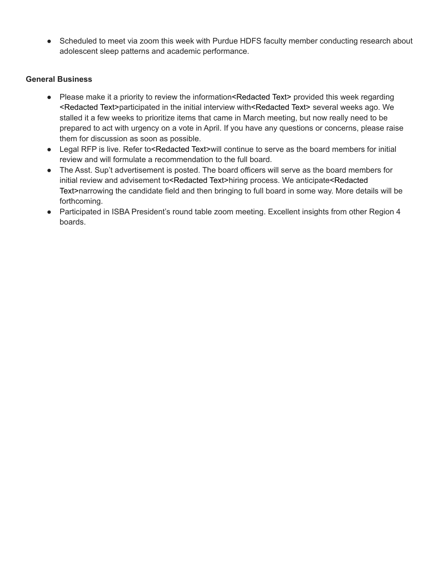• Scheduled to meet via zoom this week with Purdue HDFS faculty member conducting research about adolescent sleep patterns and academic performance.

- Please make it a priority to review the information<Redacted Text> provided this week regarding <Redacted Text>participated in the initial interview with<Redacted Text> several weeks ago. We stalled it a few weeks to prioritize items that came in March meeting, but now really need to be prepared to act with urgency on a vote in April. If you have any questions or concerns, please raise them for discussion as soon as possible.
- Legal RFP is live. Refer to<Redacted Text>will continue to serve as the board members for initial review and will formulate a recommendation to the full board.
- The Asst. Sup't advertisement is posted. The board officers will serve as the board members for initial review and advisement to<Redacted Text>hiring process. We anticipate<Redacted Text>narrowing the candidate field and then bringing to full board in some way. More details will be forthcoming.
- Participated in ISBA President's round table zoom meeting. Excellent insights from other Region 4 boards.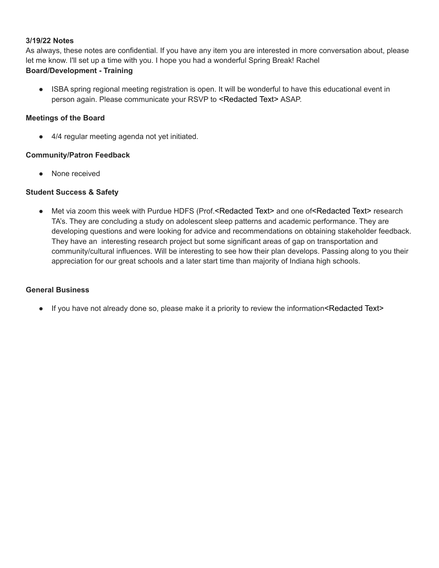#### **3/19/22 Notes**

As always, these notes are confidential. If you have any item you are interested in more conversation about, please let me know. I'll set up a time with you. I hope you had a wonderful Spring Break! Rachel **Board/Development - Training**

● ISBA spring regional meeting registration is open. It will be wonderful to have this educational event in person again. Please communicate your RSVP to <Redacted Text> ASAP.

#### **Meetings of the Board**

● 4/4 regular meeting agenda not yet initiated.

#### **Community/Patron Feedback**

● None received

#### **Student Success & Safety**

● Met via zoom this week with Purdue HDFS (Prof.<Redacted Text> and one of<Redacted Text> research TA's. They are concluding a study on adolescent sleep patterns and academic performance. They are developing questions and were looking for advice and recommendations on obtaining stakeholder feedback. They have an interesting research project but some significant areas of gap on transportation and community/cultural influences. Will be interesting to see how their plan develops. Passing along to you their appreciation for our great schools and a later start time than majority of Indiana high schools.

#### **General Business**

• If you have not already done so, please make it a priority to review the information <Redacted Text>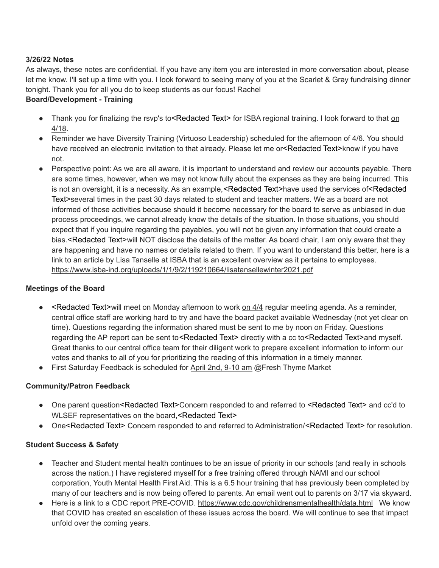## **3/26/22 Notes**

As always, these notes are confidential. If you have any item you are interested in more conversation about, please let me know. I'll set up a time with you. I look forward to seeing many of you at the Scarlet & Gray fundraising dinner tonight. Thank you for all you do to keep students as our focus! Rachel

# **Board/Development - Training**

- Thank you for finalizing the rsvp's to<Redacted Text> for ISBA regional training. I look forward to that on 4/18.
- Reminder we have Diversity Training (Virtuoso Leadership) scheduled for the afternoon of 4/6. You should have received an electronic invitation to that already. Please let me or<Redacted Text>know if you have not.
- Perspective point: As we are all aware, it is important to understand and review our accounts payable. There are some times, however, when we may not know fully about the expenses as they are being incurred. This is not an oversight, it is a necessity. As an example,<Redacted Text>have used the services of<Redacted Text>several times in the past 30 days related to student and teacher matters. We as a board are not informed of those activities because should it become necessary for the board to serve as unbiased in due process proceedings, we cannot already know the details of the situation. In those situations, you should expect that if you inquire regarding the payables, you will not be given any information that could create a bias.<Redacted Text>will NOT disclose the details of the matter. As board chair, I am only aware that they are happening and have no names or details related to them. If you want to understand this better, here is a link to an article by Lisa Tanselle at ISBA that is an excellent overview as it pertains to employees. <https://www.isba-ind.org/uploads/1/1/9/2/119210664/lisatansellewinter2021.pdf>

# **Meetings of the Board**

- $\bullet \quad$  <Redacted Text>will meet on Monday afternoon to work on  $4/4$  regular meeting agenda. As a reminder, central office staff are working hard to try and have the board packet available Wednesday (not yet clear on time). Questions regarding the information shared must be sent to me by noon on Friday. Questions regarding the AP report can be sent to <Redacted Text> directly with a cc to <Redacted Text>and myself. Great thanks to our central office team for their diligent work to prepare excellent information to inform our votes and thanks to all of you for prioritizing the reading of this information in a timely manner.
- First Saturday Feedback is scheduled for April 2nd, 9-10 am @Fresh Thyme Market

# **Community/Patron Feedback**

- One parent question<Redacted Text>Concern responded to and referred to <Redacted Text> and cc'd to WLSEF representatives on the board, <Redacted Text>
- One<Redacted Text> Concern responded to and referred to Administration/<Redacted Text> for resolution.

# **Student Success & Safety**

- Teacher and Student mental health continues to be an issue of priority in our schools (and really in schools across the nation.) I have registered myself for a free training offered through NAMI and our school corporation, Youth Mental Health First Aid. This is a 6.5 hour training that has previously been completed by many of our teachers and is now being offered to parents. An email went out to parents on 3/17 via skyward.
- Here is a link to a CDC report PRE-COVID. <https://www.cdc.gov/childrensmentalhealth/data.html> We know that COVID has created an escalation of these issues across the board. We will continue to see that impact unfold over the coming years.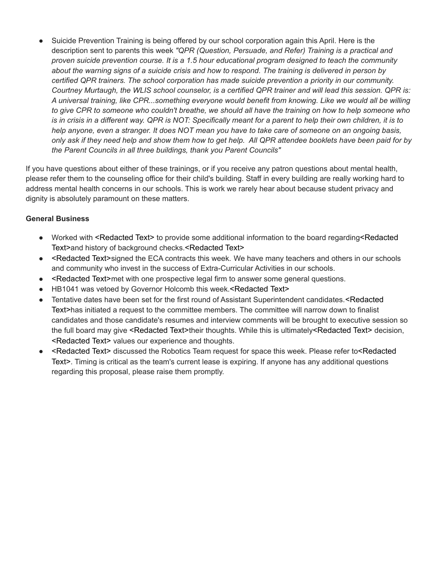• Suicide Prevention Training is being offered by our school corporation again this April. Here is the description sent to parents this week *"QPR (Question, Persuade, and Refer) Training is a practical and proven suicide prevention course. It is a 1.5 hour educational program designed to teach the community about the warning signs of a suicide crisis and how to respond. The training is delivered in person by certified QPR trainers. The school corporation has made suicide prevention a priority in our community. Courtney Murtaugh, the WLIS school counselor, is a certified QPR trainer and will lead this session. QPR is: A universal training, like CPR...something everyone would benefit from knowing. Like we would all be willing to give CPR to someone who couldn't breathe, we should all have the training on how to help someone who is in crisis in a different way. QPR is NOT: Specifically meant for a parent to help their own children, it is to help anyone, even a stranger. It does NOT mean you have to take care of someone on an ongoing basis, only ask if they need help and show them how to get help. All QPR attendee booklets have been paid for by the Parent Councils in all three buildings, thank you Parent Councils"*

If you have questions about either of these trainings, or if you receive any patron questions about mental health, please refer them to the counseling office for their child's building. Staff in every building are really working hard to address mental health concerns in our schools. This is work we rarely hear about because student privacy and dignity is absolutely paramount on these matters.

- Worked with <Redacted Text> to provide some additional information to the board regarding<Redacted Text>and history of background checks.<Redacted Text>
- <Redacted Text>signed the ECA contracts this week. We have many teachers and others in our schools and community who invest in the success of Extra-Curricular Activities in our schools.
- <Redacted Text>met with one prospective legal firm to answer some general questions.
- HB1041 was vetoed by Governor Holcomb this week.<Redacted Text>
- Tentative dates have been set for the first round of Assistant Superintendent candidates.<Redacted Text>has initiated a request to the committee members. The committee will narrow down to finalist candidates and those candidate's resumes and interview comments will be brought to executive session so the full board may give <Redacted Text>their thoughts. While this is ultimately<Redacted Text> decision, <Redacted Text> values our experience and thoughts.
- <Redacted Text> discussed the Robotics Team request for space this week. Please refer to<Redacted Text>. Timing is critical as the team's current lease is expiring. If anyone has any additional questions regarding this proposal, please raise them promptly.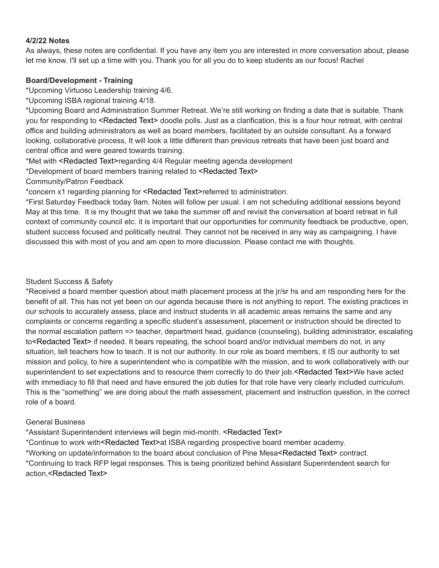#### **4/2/22 Notes**

As always, these notes are confidential. If you have any item you are interested in more conversation about, please let me know. I'll set up a time with you. Thank you for all you do to keep students as our focus! Rachel

### **Board/Development - Training**

\*Upcoming Virtuoso Leadership training 4/6.

\*Upcoming ISBA regional training 4/18.

\*Upcoming Board and Administration Summer Retreat. We're still working on finding a date that is suitable. Thank you for responding to <Redacted Text> doodle polls. Just as a clarification, this is a four hour retreat, with central office and building administrators as well as board members, facilitated by an outside consultant. As a forward looking, collaborative process, It will look a little different than previous retreats that have been just board and central office and were geared towards training.

\*Met with <Redacted Text>regarding 4/4 Regular meeting agenda development

\*Development of board members training related to <Redacted Text>

Community/Patron Feedback

\*concern x1 regarding planning for <Redacted Text>referred to administration.

\*First Saturday Feedback today 9am. Notes will follow per usual. I am not scheduling additional sessions beyond May at this time. It is my thought that we take the summer off and revisit the conversation at board retreat in full context of community council etc. it is important that our opportunities for community feedback be productive, open, student success focused and politically neutral. They cannot not be received in any way as campaigning. I have discussed this with most of you and am open to more discussion. Please contact me with thoughts.

#### Student Success & Safety

\*Received a board member question about math placement process at the jr/sr hs and am responding here for the benefit of all. This has not yet been on our agenda because there is not anything to report. The existing practices in our schools to accurately assess, place and instruct students in all academic areas remains the same and any complaints or concerns regarding a specific student's assessment, placement or instruction should be directed to the normal escalation pattern => teacher, department head, guidance (counseling), building administrator, escalating to<Redacted Text> if needed. It bears repeating, the school board and/or individual members do not, in any situation, tell teachers how to teach. It is not our authority. In our role as board members, it IS our authority to set mission and policy, to hire a superintendent who is compatible with the mission, and to work collaboratively with our superintendent to set expectations and to resource them correctly to do their job.<Redacted Text>We have acted with immediacy to fill that need and have ensured the job duties for that role have very clearly included curriculum. This is the "something" we are doing about the math assessment, placement and instruction question, in the correct role of a board.

## General Business

\*Assistant Superintendent interviews will begin mid-month. <Redacted Text> \*Continue to work with<Redacted Text>at ISBA regarding prospective board member academy. \*Working on update/information to the board about conclusion of Pine Mesa<Redacted Text> contract. \*Continuing to track RFP legal responses. This is being prioritized behind Assistant Superintendent search for action,<Redacted Text>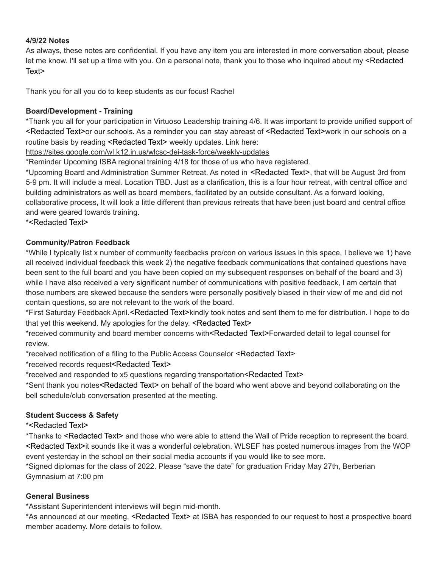### **4/9/22 Notes**

As always, these notes are confidential. If you have any item you are interested in more conversation about, please let me know. I'll set up a time with you. On a personal note, thank you to those who inquired about my <Redacted Text>

Thank you for all you do to keep students as our focus! Rachel

### **Board/Development - Training**

\*Thank you all for your participation in Virtuoso Leadership training 4/6. It was important to provide unified support of <Redacted Text>or our schools. As a reminder you can stay abreast of <Redacted Text>work in our schools on a routine basis by reading <Redacted Text> weekly updates. Link here:

<https://sites.google.com/wl.k12.in.us/wlcsc-dei-task-force/weekly-updates>

\*Reminder Upcoming ISBA regional training 4/18 for those of us who have registered.

\*Upcoming Board and Administration Summer Retreat. As noted in <Redacted Text>, that will be August 3rd from 5-9 pm. It will include a meal. Location TBD. Just as a clarification, this is a four hour retreat, with central office and building administrators as well as board members, facilitated by an outside consultant. As a forward looking, collaborative process, It will look a little different than previous retreats that have been just board and central office and were geared towards training.

\*<Redacted Text>

## **Community/Patron Feedback**

\*While I typically list x number of community feedbacks pro/con on various issues in this space, I believe we 1) have all received individual feedback this week 2) the negative feedback communications that contained questions have been sent to the full board and you have been copied on my subsequent responses on behalf of the board and 3) while I have also received a very significant number of communications with positive feedback, I am certain that those numbers are skewed because the senders were personally positively biased in their view of me and did not contain questions, so are not relevant to the work of the board.

\*First Saturday Feedback April.<Redacted Text>kindly took notes and sent them to me for distribution. I hope to do that yet this weekend. My apologies for the delay. <Redacted Text>

\*received community and board member concerns with<Redacted Text>Forwarded detail to legal counsel for review.

\*received notification of a filing to the Public Access Counselor <Redacted Text>

\*received records request<Redacted Text>

\*received and responded to x5 questions regarding transportation<Redacted Text>

\*Sent thank you notes<Redacted Text> on behalf of the board who went above and beyond collaborating on the bell schedule/club conversation presented at the meeting.

## **Student Success & Safety**

\*<Redacted Text>

\*Thanks to <Redacted Text> and those who were able to attend the Wall of Pride reception to represent the board. <Redacted Text>it sounds like it was a wonderful celebration. WLSEF has posted numerous images from the WOP event yesterday in the school on their social media accounts if you would like to see more.

\*Signed diplomas for the class of 2022. Please "save the date" for graduation Friday May 27th, Berberian Gymnasium at 7:00 pm

## **General Business**

\*Assistant Superintendent interviews will begin mid-month.

\*As announced at our meeting, <Redacted Text> at ISBA has responded to our request to host a prospective board member academy. More details to follow.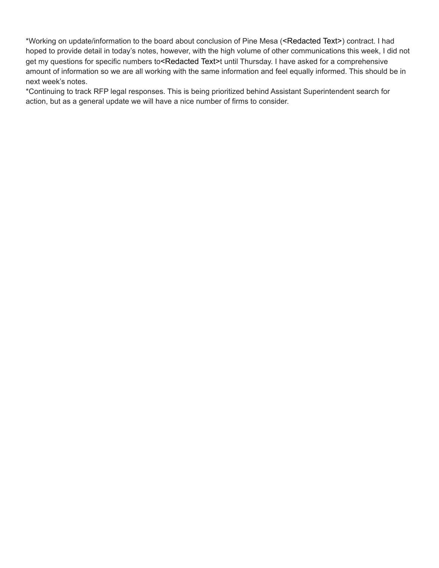\*Working on update/information to the board about conclusion of Pine Mesa (<Redacted Text>) contract. I had hoped to provide detail in today's notes, however, with the high volume of other communications this week, I did not get my questions for specific numbers to<Redacted Text>t until Thursday. I have asked for a comprehensive amount of information so we are all working with the same information and feel equally informed. This should be in next week's notes.

\*Continuing to track RFP legal responses. This is being prioritized behind Assistant Superintendent search for action, but as a general update we will have a nice number of firms to consider.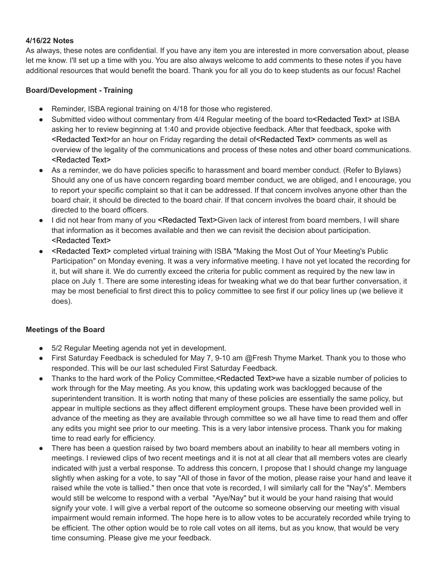#### **4/16/22 Notes**

As always, these notes are confidential. If you have any item you are interested in more conversation about, please let me know. I'll set up a time with you. You are also always welcome to add comments to these notes if you have additional resources that would benefit the board. Thank you for all you do to keep students as our focus! Rachel

## **Board/Development - Training**

- Reminder, ISBA regional training on 4/18 for those who registered.
- Submitted video without commentary from 4/4 Regular meeting of the board to<Redacted Text> at ISBA asking her to review beginning at 1:40 and provide objective feedback. After that feedback, spoke with <Redacted Text>for an hour on Friday regarding the detail of<Redacted Text> comments as well as overview of the legality of the communications and process of these notes and other board communications. <Redacted Text>
- As a reminder, we do have policies specific to harassment and board member conduct. (Refer to Bylaws) Should any one of us have concern regarding board member conduct, we are obliged, and I encourage, you to report your specific complaint so that it can be addressed. If that concern involves anyone other than the board chair, it should be directed to the board chair. If that concern involves the board chair, it should be directed to the board officers.
- I did not hear from many of you <Redacted Text>Given lack of interest from board members, I will share that information as it becomes available and then we can revisit the decision about participation. <Redacted Text>
- <Redacted Text> completed virtual training with ISBA "Making the Most Out of Your Meeting's Public Participation" on Monday evening. It was a very informative meeting. I have not yet located the recording for it, but will share it. We do currently exceed the criteria for public comment as required by the new law in place on July 1. There are some interesting ideas for tweaking what we do that bear further conversation, it may be most beneficial to first direct this to policy committee to see first if our policy lines up (we believe it does).

## **Meetings of the Board**

- 5/2 Regular Meeting agenda not yet in development.
- First Saturday Feedback is scheduled for May 7, 9-10 am @Fresh Thyme Market. Thank you to those who responded. This will be our last scheduled First Saturday Feedback.
- Thanks to the hard work of the Policy Committee,<Redacted Text>we have a sizable number of policies to work through for the May meeting. As you know, this updating work was backlogged because of the superintendent transition. It is worth noting that many of these policies are essentially the same policy, but appear in multiple sections as they affect different employment groups. These have been provided well in advance of the meeting as they are available through committee so we all have time to read them and offer any edits you might see prior to our meeting. This is a very labor intensive process. Thank you for making time to read early for efficiency.
- There has been a question raised by two board members about an inability to hear all members voting in meetings. I reviewed clips of two recent meetings and it is not at all clear that all members votes are clearly indicated with just a verbal response. To address this concern, I propose that I should change my language slightly when asking for a vote, to say "All of those in favor of the motion, please raise your hand and leave it raised while the vote is tallied." then once that vote is recorded, I will similarly call for the "Nay's". Members would still be welcome to respond with a verbal "Aye/Nay" but it would be your hand raising that would signify your vote. I will give a verbal report of the outcome so someone observing our meeting with visual impairment would remain informed. The hope here is to allow votes to be accurately recorded while trying to be efficient. The other option would be to role call votes on all items, but as you know, that would be very time consuming. Please give me your feedback.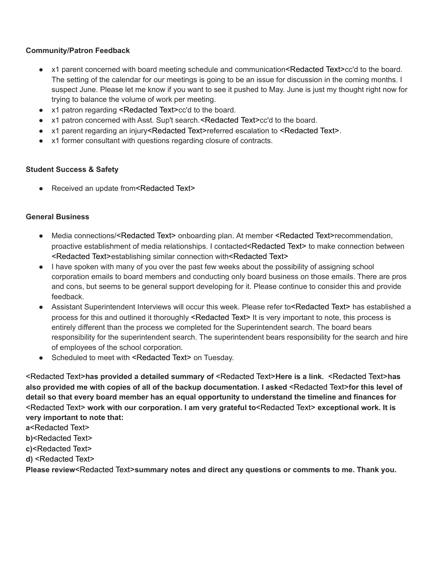## **Community/Patron Feedback**

- x1 parent concerned with board meeting schedule and communication<Redacted Text>cc'd to the board. The setting of the calendar for our meetings is going to be an issue for discussion in the coming months. I suspect June. Please let me know if you want to see it pushed to May. June is just my thought right now for trying to balance the volume of work per meeting.
- x1 patron regarding <Redacted Text>cc'd to the board.
- x1 patron concerned with Asst. Sup't search. <Redacted Text>cc'd to the board.
- x1 parent regarding an injury<Redacted Text>referred escalation to <Redacted Text>.
- x1 former consultant with questions regarding closure of contracts.

## **Student Success & Safety**

● Received an update from<Redacted Text>

## **General Business**

- Media connections/<Redacted Text> onboarding plan. At member <Redacted Text>recommendation, proactive establishment of media relationships. I contacted<Redacted Text> to make connection between <Redacted Text>establishing similar connection with<Redacted Text>
- I have spoken with many of you over the past few weeks about the possibility of assigning school corporation emails to board members and conducting only board business on those emails. There are pros and cons, but seems to be general support developing for it. Please continue to consider this and provide feedback.
- Assistant Superintendent Interviews will occur this week. Please refer to<Redacted Text> has established a process for this and outlined it thoroughly <Redacted Text> It is very important to note, this process is entirely different than the process we completed for the Superintendent search. The board bears responsibility for the superintendent search. The superintendent bears responsibility for the search and hire of employees of the school corporation.
- Scheduled to meet with <Redacted Text> on Tuesday.

<Redacted Text>**has provided a detailed summary of** <Redacted Text>**Here is a link.** [<](https://app.box.com/s/lw1hh9ve3poh6milwjmiv51qzy37moal)Redacted Text>**has also provided me with copies of all of the backup documentation. I asked** <Redacted Text>**for this level of detail so that every board member has an equal opportunity to understand the timeline and finances for** <Redacted Text> **work with our corporation. I am very grateful to**<Redacted Text> **exceptional work. It is very important to note that:**

**a**<Redacted Text>

- **b)**<Redacted Text>
- **c)**<Redacted Text>
- **d)** <Redacted Text>

**Please review**<Redacted Text>**summary notes and direct any questions or comments to me. Thank you.**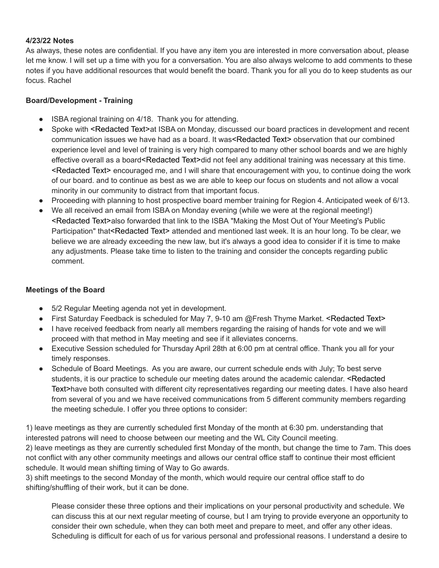### **4/23/22 Notes**

As always, these notes are confidential. If you have any item you are interested in more conversation about, please let me know. I will set up a time with you for a conversation. You are also always welcome to add comments to these notes if you have additional resources that would benefit the board. Thank you for all you do to keep students as our focus. Rachel

### **Board/Development - Training**

- ISBA regional training on 4/18. Thank you for attending.
- Spoke with <Redacted Text>at ISBA on Monday, discussed our board practices in development and recent communication issues we have had as a board. It was<Redacted Text> observation that our combined experience level and level of training is very high compared to many other school boards and we are highly effective overall as a board<Redacted Text>did not feel any additional training was necessary at this time. <Redacted Text> encouraged me, and I will share that encouragement with you, to continue doing the work of our board. and to continue as best as we are able to keep our focus on students and not allow a vocal minority in our community to distract from that important focus.
- Proceeding with planning to host prospective board member training for Region 4. Anticipated week of 6/13.
- We all received an email from ISBA on Monday evening (while we were at the regional meeting!) <Redacted Text>also forwarded that link to the ISBA "Making the Most Out of Your Meeting's Public Participation" that<Redacted Text> attended and mentioned last week. It is an hour long. To be clear, we believe we are already exceeding the new law, but it's always a good idea to consider if it is time to make any adjustments. Please take time to listen to the training and consider the concepts regarding public comment.

## **Meetings of the Board**

- 5/2 Regular Meeting agenda not yet in development.
- First Saturday Feedback is scheduled for May 7, 9-10 am @Fresh Thyme Market. <Redacted Text>
- I have received feedback from nearly all members regarding the raising of hands for vote and we will proceed with that method in May meeting and see if it alleviates concerns.
- Executive Session scheduled for Thursday April 28th at 6:00 pm at central office. Thank you all for your timely responses.
- Schedule of Board Meetings. As you are aware, our current schedule ends with July; To best serve students, it is our practice to schedule our meeting dates around the academic calendar. <Redacted Text>have both consulted with different city representatives regarding our meeting dates. I have also heard from several of you and we have received communications from 5 different community members regarding the meeting schedule. I offer you three options to consider:

1) leave meetings as they are currently scheduled first Monday of the month at 6:30 pm. understanding that interested patrons will need to choose between our meeting and the WL City Council meeting. 2) leave meetings as they are currently scheduled first Monday of the month, but change the time to 7am. This does not conflict with any other community meetings and allows our central office staff to continue their most efficient schedule. It would mean shifting timing of Way to Go awards.

3) shift meetings to the second Monday of the month, which would require our central office staff to do shifting/shuffling of their work, but it can be done.

Please consider these three options and their implications on your personal productivity and schedule. We can discuss this at our next regular meeting of course, but I am trying to provide everyone an opportunity to consider their own schedule, when they can both meet and prepare to meet, and offer any other ideas. Scheduling is difficult for each of us for various personal and professional reasons. I understand a desire to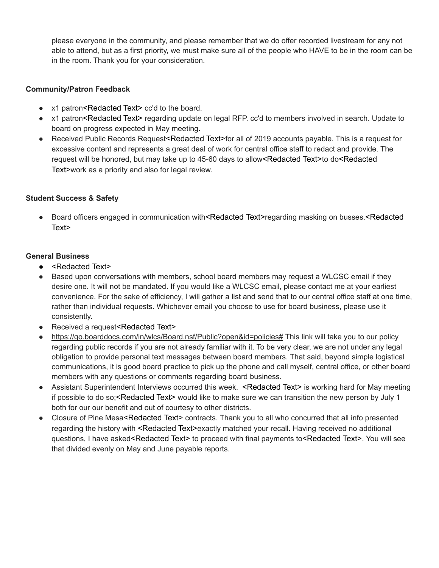please everyone in the community, and please remember that we do offer recorded livestream for any not able to attend, but as a first priority, we must make sure all of the people who HAVE to be in the room can be in the room. Thank you for your consideration.

## **Community/Patron Feedback**

- x1 patron<Redacted Text> cc'd to the board.
- x1 patron<Redacted Text> regarding update on legal RFP. cc'd to members involved in search. Update to board on progress expected in May meeting.
- Received Public Records Request<Redacted Text>for all of 2019 accounts payable. This is a request for excessive content and represents a great deal of work for central office staff to redact and provide. The request will be honored, but may take up to 45-60 days to allow<Redacted Text>to do<Redacted Text>work as a priority and also for legal review.

## **Student Success & Safety**

Board officers engaged in communication with<Redacted Text>regarding masking on busses.<Redacted Text>

- <Redacted Text>
- Based upon conversations with members, school board members may request a WLCSC email if they desire one. It will not be mandated. If you would like a WLCSC email, please contact me at your earliest convenience. For the sake of efficiency, I will gather a list and send that to our central office staff at one time, rather than individual requests. Whichever email you choose to use for board business, please use it consistently.
- Received a request<Redacted Text>
- <https://go.boarddocs.com/in/wlcs/Board.nsf/Public?open&id=policies#> This link will take you to our policy regarding public records if you are not already familiar with it. To be very clear, we are not under any legal obligation to provide personal text messages between board members. That said, beyond simple logistical communications, it is good board practice to pick up the phone and call myself, central office, or other board members with any questions or comments regarding board business.
- Assistant Superintendent Interviews occurred this week. <Redacted Text> is working hard for May meeting if possible to do so;<Redacted Text> would like to make sure we can transition the new person by July 1 both for our our benefit and out of courtesy to other districts.
- Closure of Pine Mesa<Redacted Text> contracts. Thank you to all who concurred that all info presented regarding the history with <Redacted Text>exactly matched your recall. Having received no additional questions, I have asked<Redacted Text> to proceed with final payments to<Redacted Text>. You will see that divided evenly on May and June payable reports.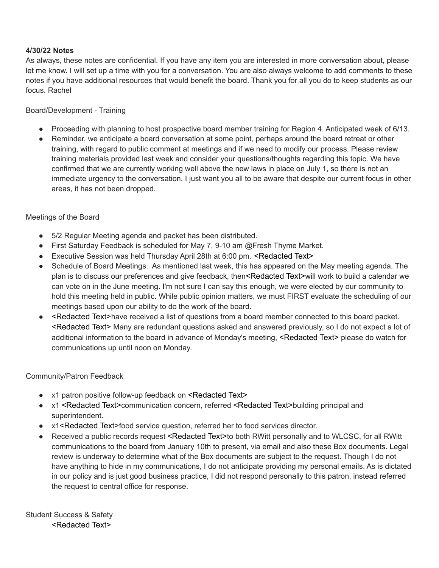### **4/30/22 Notes**

As always, these notes are confidential. If you have any item you are interested in more conversation about, please let me know. I will set up a time with you for a conversation. You are also always welcome to add comments to these notes if you have additional resources that would benefit the board. Thank you for all you do to keep students as our focus. Rachel

#### Board/Development - Training

- Proceeding with planning to host prospective board member training for Region 4. Anticipated week of 6/13.
- Reminder, we anticipate a board conversation at some point, perhaps around the board retreat or other training, with regard to public comment at meetings and if we need to modify our process. Please review training materials provided last week and consider your questions/thoughts regarding this topic. We have confirmed that we are currently working well above the new laws in place on July 1, so there is not an immediate urgency to the conversation. I just want you all to be aware that despite our current focus in other areas, it has not been dropped.

#### Meetings of the Board

- 5/2 Regular Meeting agenda and packet has been distributed.
- First Saturday Feedback is scheduled for May 7, 9-10 am @Fresh Thyme Market.
- Executive Session was held Thursday April 28th at 6:00 pm. <Redacted Text>
- Schedule of Board Meetings. As mentioned last week, this has appeared on the May meeting agenda. The plan is to discuss our preferences and give feedback, then<Redacted Text>will work to build a calendar we can vote on in the June meeting. I'm not sure I can say this enough, we were elected by our community to hold this meeting held in public. While public opinion matters, we must FIRST evaluate the scheduling of our meetings based upon our ability to do the work of the board.
- <Redacted Text>have received a list of questions from a board member connected to this board packet. <Redacted Text> Many are redundant questions asked and answered previously, so I do not expect a lot of additional information to the board in advance of Monday's meeting, <Redacted Text> please do watch for communications up until noon on Monday.

#### Community/Patron Feedback

- x1 patron positive follow-up feedback on <Redacted Text>
- x1<Redacted Text>communication concern, referred <Redacted Text>building principal and superintendent.
- x1<Redacted Text>food service question, referred her to food services director.
- Received a public records request <Redacted Text>to both RWitt personally and to WLCSC, for all RWitt communications to the board from January 10th to present, via email and also these Box documents. Legal review is underway to determine what of the Box documents are subject to the request. Though I do not have anything to hide in my communications, I do not anticipate providing my personal emails. As is dictated in our policy and is just good business practice, I did not respond personally to this patron, instead referred the request to central office for response.

Student Success & Safety <Redacted Text>